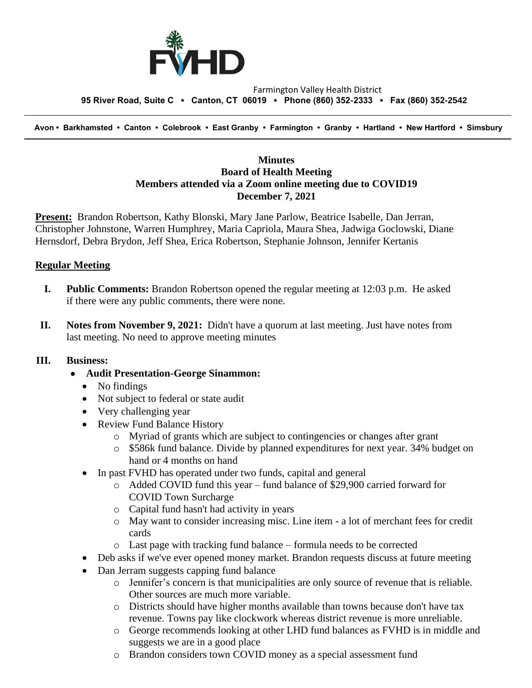

#### Farmington Valley Health District  **95 River Road, Suite C ▪ Canton, CT 06019 ▪ Phone (860) 352-2333 ▪ Fax (860) 352-2542**

 **Avon • Barkhamsted • Canton • Colebrook • East Granby • Farmington • Granby • Hartland • New Hartford • Simsbury**

### **Minutes Board of Health Meeting Members attended via a Zoom online meeting due to COVID19 December 7, 2021**

**Present:** Brandon Robertson, Kathy Blonski, Mary Jane Parlow, Beatrice Isabelle, Dan Jerran, Christopher Johnstone, Warren Humphrey, Maria Capriola, Maura Shea, Jadwiga Goclowski, Diane Hernsdorf, Debra Brydon, Jeff Shea, Erica Robertson, Stephanie Johnson, Jennifer Kertanis

### **Regular Meeting**

- **I. Public Comments:** Brandon Robertson opened the regular meeting at 12:03 p.m. He asked if there were any public comments, there were none.
- **II. Notes from November 9, 2021:** Didn't have a quorum at last meeting. Just have notes from last meeting. No need to approve meeting minutes

### **III. Business:**

- **Audit Presentation-George Sinammon:**
	- No findings
	- Not subject to federal or state audit
	- Very challenging year
	- Review Fund Balance History
		- o Myriad of grants which are subject to contingencies or changes after grant
		- o \$586k fund balance. Divide by planned expenditures for next year. 34% budget on hand or 4 months on hand
	- In past FVHD has operated under two funds, capital and general
		- o Added COVID fund this year fund balance of \$29,900 carried forward for COVID Town Surcharge
		- o Capital fund hasn't had activity in years
		- o May want to consider increasing misc. Line item a lot of merchant fees for credit cards
		- o Last page with tracking fund balance formula needs to be corrected
	- Deb asks if we've ever opened money market. Brandon requests discuss at future meeting
	- Dan Jerram suggests capping fund balance
		- o Jennifer's concern is that municipalities are only source of revenue that is reliable. Other sources are much more variable.
		- o Districts should have higher months available than towns because don't have tax revenue. Towns pay like clockwork whereas district revenue is more unreliable.
		- o George recommends looking at other LHD fund balances as FVHD is in middle and suggests we are in a good place
		- o Brandon considers town COVID money as a special assessment fund